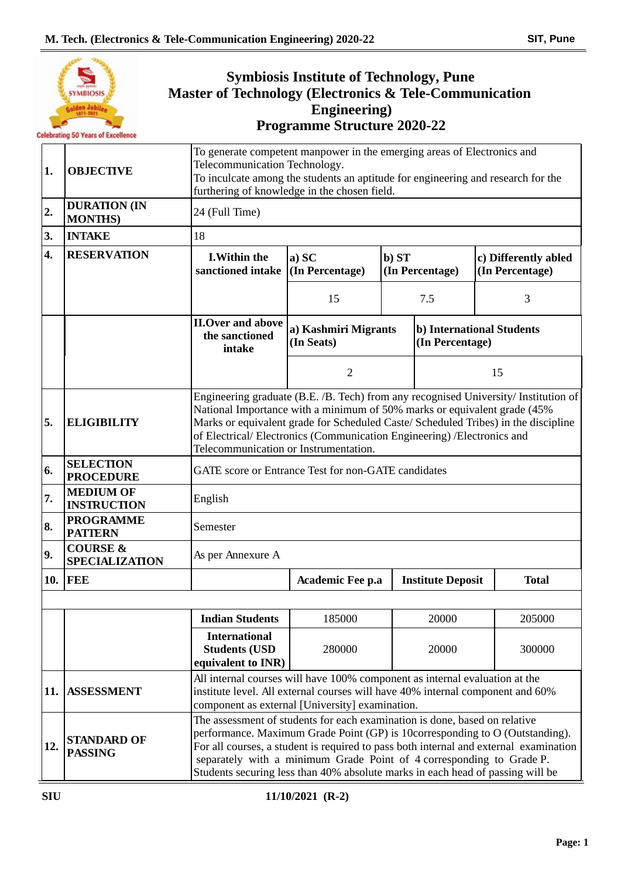|     | YMBIOSIS<br>iden Jubil <sub>es</sub><br><b>Celebrating 50 Years of Excellence</b> | Master of Technology (Electronics & Tele-Communication             | <b>Symbiosis Institute of Technology, Pune</b><br><b>Engineering</b> )<br><b>Programme Structure 2020-22</b>                                                                                                                                                                                                                                                                                                  |                          |                                         |  |  |  |  |  |  |  |
|-----|-----------------------------------------------------------------------------------|--------------------------------------------------------------------|---------------------------------------------------------------------------------------------------------------------------------------------------------------------------------------------------------------------------------------------------------------------------------------------------------------------------------------------------------------------------------------------------------------|--------------------------|-----------------------------------------|--|--|--|--|--|--|--|
| 1.  | <b>OBJECTIVE</b>                                                                  |                                                                    | To generate competent manpower in the emerging areas of Electronics and<br>Telecommunication Technology.<br>To inculcate among the students an aptitude for engineering and research for the<br>furthering of knowledge in the chosen field.                                                                                                                                                                  |                          |                                         |  |  |  |  |  |  |  |
| 2.  | <b>DURATION (IN</b><br><b>MONTHS</b> )                                            | 24 (Full Time)                                                     |                                                                                                                                                                                                                                                                                                                                                                                                               |                          |                                         |  |  |  |  |  |  |  |
| 3.  | <b>INTAKE</b>                                                                     | 18                                                                 |                                                                                                                                                                                                                                                                                                                                                                                                               |                          |                                         |  |  |  |  |  |  |  |
| 4.  | <b>RESERVATION</b>                                                                | <b>I.Within the</b><br>sanctioned intake                           | a) SC<br>(In Percentage)                                                                                                                                                                                                                                                                                                                                                                                      | b) ST<br>(In Percentage) | c) Differently abled<br>(In Percentage) |  |  |  |  |  |  |  |
|     |                                                                                   |                                                                    | 15                                                                                                                                                                                                                                                                                                                                                                                                            | 7.5                      | 3                                       |  |  |  |  |  |  |  |
|     |                                                                                   | <b>II.Over and above</b><br>the sanctioned<br>intake               | a) Kashmiri Migrants<br>(In Seats)                                                                                                                                                                                                                                                                                                                                                                            | (In Percentage)          | b) International Students               |  |  |  |  |  |  |  |
|     |                                                                                   |                                                                    | $\overline{2}$                                                                                                                                                                                                                                                                                                                                                                                                |                          | 15                                      |  |  |  |  |  |  |  |
| 5.  | <b>ELIGIBILITY</b>                                                                |                                                                    | Engineering graduate (B.E. /B. Tech) from any recognised University/ Institution of<br>National Importance with a minimum of 50% marks or equivalent grade (45%<br>Marks or equivalent grade for Scheduled Caste/ Scheduled Tribes) in the discipline<br>of Electrical/Electronics (Communication Engineering) /Electronics and<br>Telecommunication or Instrumentation.                                      |                          |                                         |  |  |  |  |  |  |  |
| 6.  | <b>SELECTION</b><br><b>PROCEDURE</b>                                              |                                                                    | GATE score or Entrance Test for non-GATE candidates                                                                                                                                                                                                                                                                                                                                                           |                          |                                         |  |  |  |  |  |  |  |
| 7.  | <b>MEDIUM OF</b><br><b>INSTRUCTION</b>                                            | English                                                            |                                                                                                                                                                                                                                                                                                                                                                                                               |                          |                                         |  |  |  |  |  |  |  |
| 8.  | <b>PROGRAMME</b><br><b>PATTERN</b>                                                | Semester                                                           |                                                                                                                                                                                                                                                                                                                                                                                                               |                          |                                         |  |  |  |  |  |  |  |
| 9.  | <b>COURSE &amp;</b><br><b>SPECIALIZATION</b>                                      | As per Annexure A                                                  |                                                                                                                                                                                                                                                                                                                                                                                                               |                          |                                         |  |  |  |  |  |  |  |
| 10. | FEE                                                                               |                                                                    | Academic Fee p.a                                                                                                                                                                                                                                                                                                                                                                                              | <b>Institute Deposit</b> | <b>Total</b>                            |  |  |  |  |  |  |  |
|     |                                                                                   | <b>Indian Students</b>                                             | 185000                                                                                                                                                                                                                                                                                                                                                                                                        | 20000                    | 205000                                  |  |  |  |  |  |  |  |
|     |                                                                                   | <b>International</b><br><b>Students (USD</b><br>equivalent to INR) | 280000                                                                                                                                                                                                                                                                                                                                                                                                        | 20000<br>300000          |                                         |  |  |  |  |  |  |  |
| 11. | <b>ASSESSMENT</b>                                                                 |                                                                    | All internal courses will have 100% component as internal evaluation at the<br>institute level. All external courses will have 40% internal component and 60%<br>component as external [University] examination.                                                                                                                                                                                              |                          |                                         |  |  |  |  |  |  |  |
| 12. | <b>STANDARD OF</b><br><b>PASSING</b>                                              |                                                                    | The assessment of students for each examination is done, based on relative<br>performance. Maximum Grade Point (GP) is 10corresponding to O (Outstanding).<br>For all courses, a student is required to pass both internal and external examination<br>separately with a minimum Grade Point of 4 corresponding to Grade P.<br>Students securing less than 40% absolute marks in each head of passing will be |                          |                                         |  |  |  |  |  |  |  |

 $\frac{\perp}{\perp}$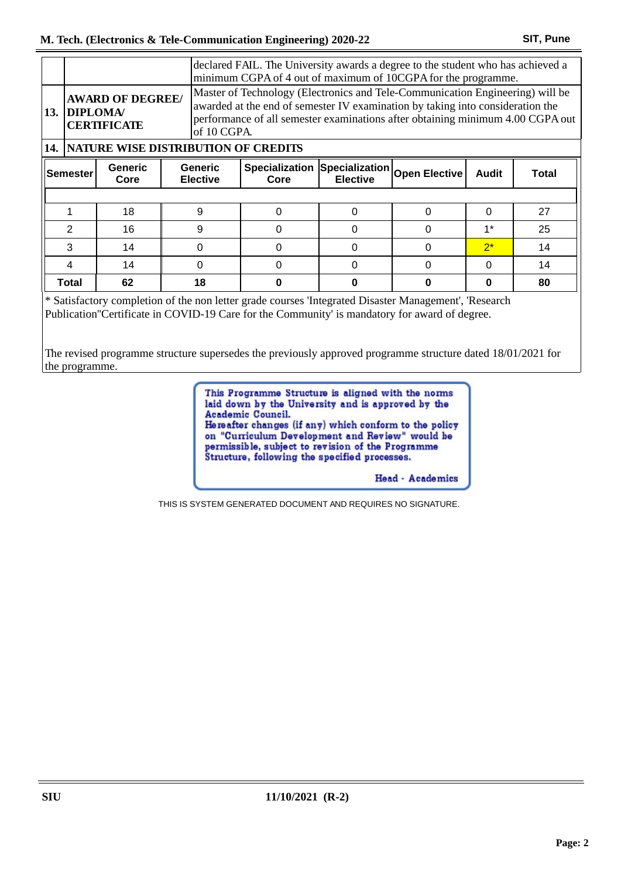|  | declared FAIL. The University awards a degree to the student who has achieved a<br>minimum CGPA of 4 out of maximum of 10CGPA for the programme.                                                                                                                                                                                  |                                                             |  |   |                               |                                                 |   |              |       |  |  |
|--|-----------------------------------------------------------------------------------------------------------------------------------------------------------------------------------------------------------------------------------------------------------------------------------------------------------------------------------|-------------------------------------------------------------|--|---|-------------------------------|-------------------------------------------------|---|--------------|-------|--|--|
|  | Master of Technology (Electronics and Tele-Communication Engineering) will be<br><b>AWARD OF DEGREE/</b><br>awarded at the end of semester IV examination by taking into consideration the<br>13. DIPLOMA/<br>performance of all semester examinations after obtaining minimum 4.00 CGPA out<br><b>CERTIFICATE</b><br>of 10 CGPA. |                                                             |  |   |                               |                                                 |   |              |       |  |  |
|  | <b>14. NATURE WISE DISTRIBUTION OF CREDITS</b>                                                                                                                                                                                                                                                                                    |                                                             |  |   |                               |                                                 |   |              |       |  |  |
|  | <b>Semester</b>                                                                                                                                                                                                                                                                                                                   | <b>Generic</b><br><b>Generic</b><br><b>Elective</b><br>Core |  |   | <b>Specialization</b><br>Core | Specialization Open Elective<br><b>Elective</b> |   | <b>Audit</b> | Total |  |  |
|  |                                                                                                                                                                                                                                                                                                                                   |                                                             |  |   |                               |                                                 |   |              |       |  |  |
|  |                                                                                                                                                                                                                                                                                                                                   | 18                                                          |  | 9 | $\Omega$                      |                                                 | 0 | $\Omega$     | 27    |  |  |
|  | 2                                                                                                                                                                                                                                                                                                                                 | 16                                                          |  | 9 | $\Omega$                      |                                                 | 0 | $1*$         | 25    |  |  |
|  | 3                                                                                                                                                                                                                                                                                                                                 | 14                                                          |  | O | $\Omega$                      |                                                 | 0 | $2^*$        | 14    |  |  |
|  |                                                                                                                                                                                                                                                                                                                                   | 14                                                          |  |   |                               |                                                 |   | 0            | 14    |  |  |

\* Satisfactory completion of the non letter grade courses 'Integrated Disaster Management', 'Research Publication''Certificate in COVID-19 Care for the Community' is mandatory for award of degree.

The revised programme structure supersedes the previously approved programme structure dated 18/01/2021 for the programme.

**Total 62 18 0 0 0 0 80**

This Programme Structure is aligned with the norms laid down by the University and is approved by the Academic Council. Hereafter changes (if any) which conform to the policy on "Curriculum Development and Review" would be permissible, subject to revision of the Programme<br>Structure, following the specified processes.

**Head** - Academics

THIS IS SYSTEM GENERATED DOCUMENT AND REQUIRES NO SIGNATURE.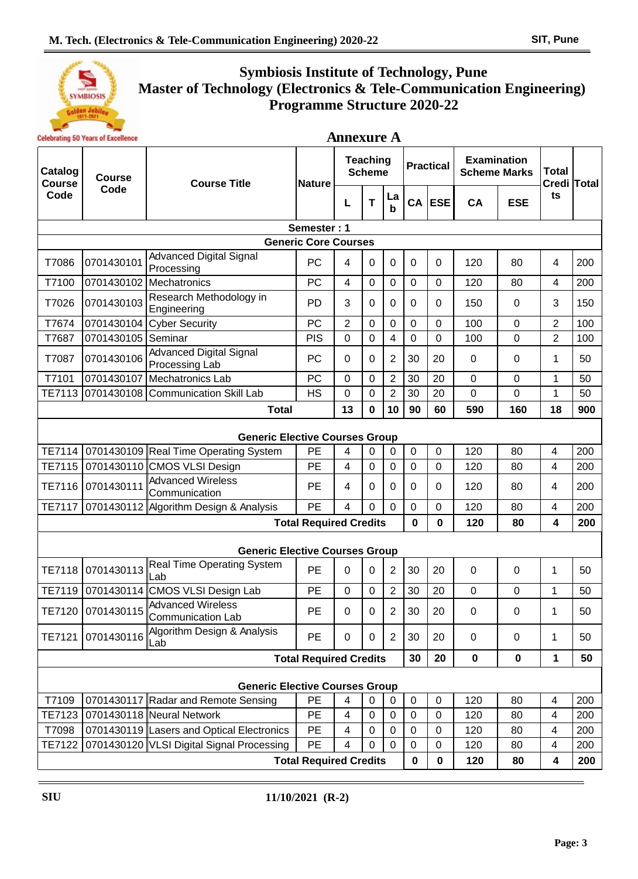

## **Symbiosis Institute of Technology, Pune Master of Technology (Electronics & Tele-Communication Engineering) Programme Structure 2020-22**

| <b>Celebrating 50 Years of Excellence</b> |                                       | <b>Annexure A</b>                                |                               |                                  |             |                   |             |                                           |                |              |             |     |
|-------------------------------------------|---------------------------------------|--------------------------------------------------|-------------------------------|----------------------------------|-------------|-------------------|-------------|-------------------------------------------|----------------|--------------|-------------|-----|
| Catalog<br><b>Course</b>                  | <b>Course</b>                         | <b>Course Title</b>                              | <b>Nature</b>                 | <b>Teaching</b><br><b>Scheme</b> |             | <b>Practical</b>  |             | <b>Examination</b><br><b>Scheme Marks</b> |                | <b>Total</b> | Credi Total |     |
| Code                                      | Code                                  |                                                  |                               | L                                | T           | La<br>$\mathbf b$ |             | CA ESE                                    | CA             | <b>ESE</b>   | ts          |     |
|                                           |                                       |                                                  | Semester: 1                   |                                  |             |                   |             |                                           |                |              |             |     |
|                                           |                                       |                                                  | <b>Generic Core Courses</b>   |                                  |             |                   |             |                                           |                |              |             |     |
| T7086                                     | 0701430101                            | <b>Advanced Digital Signal</b><br>Processing     | PC                            | 4                                | 0           | 0                 | $\mathbf 0$ | $\Omega$                                  | 120            | 80           | 4           | 200 |
| T7100                                     | 0701430102                            | Mechatronics                                     | PC                            | $\overline{4}$                   | $\mathbf 0$ | 0                 | $\mathbf 0$ | $\Omega$                                  | 120            | 80           | 4           | 200 |
| T7026                                     | 0701430103                            | Research Methodology in<br>Engineering           | PD                            | 3                                | 0           | 0                 | 0           | 0                                         | 150            | 0            | 3           | 150 |
| T7674                                     | 0701430104                            | <b>Cyber Security</b>                            | <b>PC</b>                     | $\overline{2}$                   | 0           | 0                 | 0           | 0                                         | 100            | 0            | 2           | 100 |
| T7687                                     | 0701430105                            | Seminar                                          | <b>PIS</b>                    | 0                                | 0           | 4                 | 0           | 0                                         | 100            | 0            | 2           | 100 |
| T7087                                     | 0701430106                            | <b>Advanced Digital Signal</b><br>Processing Lab | PC                            | 0                                | 0           | $\overline{2}$    | 30          | 20                                        | $\mathbf 0$    | 0            | 1           | 50  |
| T7101                                     | 0701430107                            | <b>Mechatronics Lab</b>                          | PC                            | 0                                | 0           | $\overline{2}$    | 30          | 20                                        | 0              | 0            | 1           | 50  |
| TE7113                                    | 0701430108                            | <b>Communication Skill Lab</b>                   | <b>HS</b>                     | 0                                | 0           | $\overline{2}$    | 30          | 20                                        | $\overline{0}$ | 0            | 1           | 50  |
|                                           |                                       | <b>Total</b>                                     |                               | 13                               | 0           | 10                | 90          | 60                                        | 590            | 160          | 18          | 900 |
|                                           | <b>Generic Elective Courses Group</b> |                                                  |                               |                                  |             |                   |             |                                           |                |              |             |     |
| TE7114                                    |                                       | 0701430109 Real Time Operating System            | PE                            | 4                                | 0           | 0                 | $\mathbf 0$ | 0                                         | 120            | 80           | 4           | 200 |
| TE7115                                    | 0701430110                            | CMOS VLSI Design                                 | PE                            | 4                                | 0           | 0                 | 0           | 0                                         | 120            | 80           | 4           | 200 |
| TE7116                                    | 0701430111                            | <b>Advanced Wireless</b><br>Communication        | <b>PE</b>                     | 4                                | 0           | 0                 | 0           | 0                                         | 120            | 80           | 4           | 200 |
| <b>TE7117</b>                             |                                       | 0701430112 Algorithm Design & Analysis           | PE                            | 4                                | $\Omega$    | 0                 | 0           | 0                                         | 120            | 80           | 4           | 200 |
|                                           |                                       |                                                  | <b>Total Required Credits</b> |                                  |             |                   | $\bf{0}$    | 0                                         | 120            | 80           | 4           | 200 |
|                                           |                                       | <b>Generic Elective Courses Group</b>            |                               |                                  |             |                   |             |                                           |                |              |             |     |
| TE7118                                    | 0701430113                            | Real Time Operating System<br>Lab                | <b>PE</b>                     | 0                                | 0           | $\overline{2}$    | 30          | 20                                        | $\mathbf 0$    | 0            | 1           | 50  |
| TE7119                                    |                                       | 0701430114 CMOS VLSI Design Lab                  | PE                            | 0                                | 0           | $\overline{2}$    | 30          | 20                                        | $\mathbf 0$    | 0            | 1           | 50  |
| TE7120                                    | 0701430115                            | Advanced Wireless<br><b>Communication Lab</b>    | PE                            | 0                                | $\pmb{0}$   | $\overline{2}$    | 30          | 20                                        | $\mathbf 0$    | 0            | 1           | 50  |
| TE7121                                    | 0701430116                            | Algorithm Design & Analysis<br>Lab               | <b>PE</b>                     | 0                                | 0           | $\overline{2}$    | 30          | 20                                        | $\mathbf 0$    | 0            | 1           | 50  |
|                                           | <b>Total Required Credits</b>         |                                                  |                               |                                  |             |                   | 30          | 20                                        | $\pmb{0}$      | $\pmb{0}$    | 1           | 50  |
|                                           |                                       | <b>Generic Elective Courses Group</b>            |                               |                                  |             |                   |             |                                           |                |              |             |     |
| T7109                                     |                                       | 0701430117 Radar and Remote Sensing              | PE                            | $\overline{\mathbf{4}}$          | $\mathbf 0$ | 0                 | $\mathbf 0$ | 0                                         | 120            | 80           | 4           | 200 |
| TE7123                                    |                                       | 0701430118 Neural Network                        | PE                            | $\overline{\mathbf{4}}$          | $\mathbf 0$ | 0                 | $\mathbf 0$ | 0                                         | 120            | 80           | 4           | 200 |
| T7098                                     |                                       | 0701430119 Lasers and Optical Electronics        | PE                            | 4                                | 0           | 0                 | 0           | 0                                         | 120            | 80           | 4           | 200 |
| TE7122                                    |                                       | 0701430120 VLSI Digital Signal Processing        | PE                            | 4                                | $\mathbf 0$ | 0                 | 0           | 0                                         | 120            | 80           | 4           | 200 |
|                                           |                                       |                                                  | <b>Total Required Credits</b> |                                  |             |                   | 0           | 0                                         | 120            | 80           | 4           | 200 |
|                                           |                                       |                                                  |                               |                                  |             |                   |             |                                           |                |              |             |     |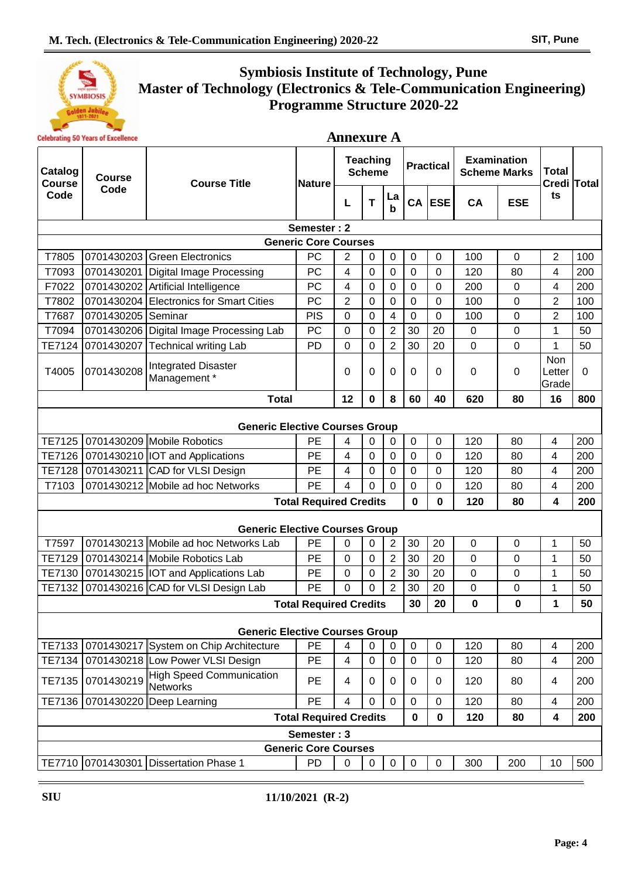

## **Symbiosis Institute of Technology, Pune Master of Technology (Electronics & Tele-Communication Engineering) Programme Structure 2020-22**

|                                       | <b>Celebrating 50 Years of Excellence</b> |                                             |                               |                                  | <b>Annexure A</b> |                  |             |                  |             |                                           |                         |             |
|---------------------------------------|-------------------------------------------|---------------------------------------------|-------------------------------|----------------------------------|-------------------|------------------|-------------|------------------|-------------|-------------------------------------------|-------------------------|-------------|
| Catalog<br><b>Course</b>              | <b>Course</b>                             | <b>Course Title</b>                         | <b>Nature</b>                 | <b>Teaching</b><br><b>Scheme</b> |                   |                  |             | <b>Practical</b> |             | <b>Examination</b><br><b>Scheme Marks</b> |                         | Credi Total |
| Code                                  | Code                                      |                                             |                               | L                                | T                 | La<br>b          |             | $CA$ ESE         | CA          | <b>ESE</b>                                | ts                      |             |
|                                       |                                           |                                             | Semester: 2                   |                                  |                   |                  |             |                  |             |                                           |                         |             |
| <b>Generic Core Courses</b>           |                                           |                                             |                               |                                  |                   |                  |             |                  |             |                                           |                         |             |
| T7805                                 | 0701430203                                | <b>Green Electronics</b>                    | PC                            | 2                                | 0                 | $\mathbf 0$      | 0           | 0                | 100         | $\mathbf 0$                               | 2                       | 100         |
| T7093                                 | 0701430201                                | <b>Digital Image Processing</b>             | PC                            | 4                                | 0                 | $\mathbf 0$      | 0           | 0                | 120         | 80                                        | 4                       | 200         |
| F7022                                 | 0701430202                                | Artificial Intelligence                     | PC                            | 4                                | 0                 | $\mathbf 0$      | $\pmb{0}$   | $\mathbf 0$      | 200         | $\mathbf 0$                               | 4                       | 200         |
| T7802                                 |                                           | 0701430204 Electronics for Smart Cities     | PC                            | $\overline{2}$                   | 0                 | $\mathbf 0$      | 0           | 0                | 100         | $\overline{0}$                            | $\overline{2}$          | 100         |
| T7687                                 | 0701430205                                | <b>Seminar</b>                              | <b>PIS</b>                    | $\Omega$                         | 0                 | 4                | 0           | 0                | 100         | 0                                         | $\overline{2}$          | 100         |
| T7094                                 |                                           | 0701430206 Digital Image Processing Lab     | PC                            | $\overline{0}$                   | 0                 | $\overline{2}$   | 30          | 20               | $\mathbf 0$ | $\overline{0}$                            | 1                       | 50          |
| TE7124                                | 0701430207                                | <b>Technical writing Lab</b>                | PD                            | $\mathbf 0$                      | 0                 | $\overline{2}$   | 30          | 20               | $\mathbf 0$ | $\mathbf 0$                               | 1                       | 50          |
| T4005                                 | 0701430208                                | <b>Integrated Disaster</b><br>Management*   |                               | 0                                | 0                 | 0                | 0           | 0                | 0           | 0                                         | Non<br>Letter<br>lGrade | 0           |
|                                       |                                           | <b>Total</b>                                |                               | 12                               | $\mathbf 0$       | 8                | 60          | 40               | 620         | 80                                        | 16                      | 800         |
| <b>Generic Elective Courses Group</b> |                                           |                                             |                               |                                  |                   |                  |             |                  |             |                                           |                         |             |
| TE7125                                |                                           | 0701430209 Mobile Robotics                  | PE                            | 4                                | 0                 | 0                | $\mathbf 0$ | 0                | 120         | 80                                        | 4                       | 200         |
|                                       |                                           | TE7126 0701430210   IOT and Applications    | PE                            | 4                                | $\overline{0}$    | $\mathbf 0$      | 0           | $\mathbf 0$      | 120         | 80                                        | $\overline{\mathbf{4}}$ | 200         |
| <b>TE7128</b>                         |                                           | 0701430211 CAD for VLSI Design              | PE                            | 4                                | 0                 | $\mathbf 0$      | 0           | 0                | 120         | 80                                        | $\overline{\mathbf{4}}$ | 200         |
| T7103                                 |                                           | 0701430212 Mobile ad hoc Networks           | PE                            | 4                                | $\Omega$          | $\mathbf 0$      | 0           | 0                | 120         | 80                                        | 4                       | 200         |
|                                       |                                           |                                             | <b>Total Required Credits</b> |                                  |                   |                  | 0           | 0                | 120         | 80                                        | 4                       | 200         |
|                                       |                                           | <b>Generic Elective Courses Group</b>       |                               |                                  |                   |                  |             |                  |             |                                           |                         |             |
| T7597                                 |                                           | 0701430213 Mobile ad hoc Networks Lab       | PE                            | 0                                | $\mathbf 0$       | $\overline{2}$   | 30          | 20               | $\mathbf 0$ | $\mathbf 0$                               | 1                       | 50          |
| TE7129                                |                                           | 0701430214 Mobile Robotics Lab              | PE                            | $\mathbf 0$                      | $\mathbf 0$       | $\overline{2}$   | 30          | 20               | $\mathbf 0$ | $\mathbf 0$                               | $\mathbf{1}$            | 50          |
| TE7130                                |                                           | 0701430215   IOT and Applications Lab       | PE                            | 0                                | 0                 | $\overline{2}$   | 30          | 20               | $\mathbf 0$ | 0                                         | 1                       | 50          |
| <b>TE7132</b>                         |                                           | 0701430216 CAD for VLSI Design Lab          | PE                            | 0                                | 0                 | $\overline{2}$   | 30          | 20               | 0           | 0                                         | $\mathbf{1}$            | 50          |
|                                       |                                           |                                             | Total Required Credits        |                                  |                   |                  | 30          | 20               | 0           | 0                                         | 1                       | 50          |
|                                       |                                           | <b>Generic Elective Courses Group</b>       |                               |                                  |                   |                  |             |                  |             |                                           |                         |             |
| TE7133                                |                                           | 0701430217 System on Chip Architecture      | PE                            | 4                                | $\mathbf 0$       | 0                | $\pmb{0}$   | $\pmb{0}$        | 120         | 80                                        | $\overline{\mathbf{4}}$ | 200         |
| TE7134                                |                                           | 0701430218 Low Power VLSI Design            | PE                            | 4                                | 0                 | $\mathbf 0$      | 0           | $\mathbf 0$      | 120         | 80                                        | 4                       | 200         |
| <b>TE7135</b>                         | 0701430219                                | <b>High Speed Communication</b><br>Networks | PE                            | 4                                | 0                 | 0                | 0           | 0                | 120         | 80                                        | 4                       | 200         |
| TE7136                                | 0701430220                                | Deep Learning                               | PE                            | $\overline{4}$                   | 0                 | $\mathbf 0$      | $\pmb{0}$   | $\mathbf 0$      | 120         | 80                                        | 4                       | 200         |
|                                       |                                           |                                             | <b>Total Required Credits</b> |                                  |                   |                  | 0           | $\pmb{0}$        | 120         | 80                                        | 4                       | 200         |
| Semester: 3                           |                                           |                                             |                               |                                  |                   |                  |             |                  |             |                                           |                         |             |
| <b>Generic Core Courses</b>           |                                           |                                             |                               |                                  |                   |                  |             |                  |             |                                           |                         |             |
|                                       |                                           | TE7710 0701430301 Dissertation Phase 1      | PD                            | $\pmb{0}$                        | $\mathbf 0$       | $\boldsymbol{0}$ | $\mathbf 0$ | $\pmb{0}$        | 300         | 200                                       | 10                      | 500         |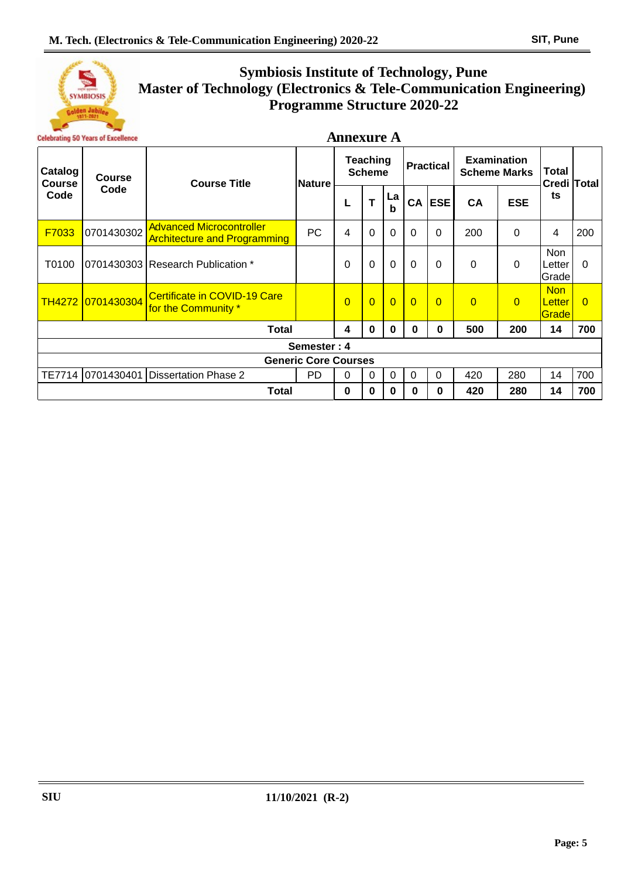

# **Symbiosis Institute of Technology, Pune Master of Technology (Electronics & Tele-Communication Engineering) Programme Structure 2020-22**

# **Annexure A**

| Catalog<br><b>Course</b>    | <b>Course</b><br>Code | <b>Course Title</b>                                                    | <b>Nature</b> | <b>Teaching</b><br><b>Scheme</b> |                |                | <b>Practical</b> |                | <b>Examination</b><br><b>Scheme Marks</b> |            | <b>Total</b><br>Credi Total    |          |
|-----------------------------|-----------------------|------------------------------------------------------------------------|---------------|----------------------------------|----------------|----------------|------------------|----------------|-------------------------------------------|------------|--------------------------------|----------|
| Code                        |                       |                                                                        |               |                                  | Т              | La<br>b        | CA               | <b>ESE</b>     | <b>CA</b>                                 | <b>ESE</b> | ts                             |          |
| F7033                       | 0701430302            | <b>Advanced Microcontroller</b><br><b>Architecture and Programming</b> | <b>PC</b>     | 4                                | $\Omega$       | $\Omega$       | 0                | 0              | 200                                       | $\Omega$   | 4                              | 200      |
| T0100                       |                       | 0701430303 Research Publication *                                      |               | 0                                | $\Omega$       | $\mathbf 0$    | 0                | 0              | $\Omega$                                  | $\Omega$   | <b>Non</b><br>Letter<br>Gradel | $\Omega$ |
|                             | TH4272 0701430304     | Certificate in COVID-19 Care<br>for the Community *                    |               | $\overline{0}$                   | $\overline{0}$ | $\overline{0}$ | $\overline{0}$   | $\overline{0}$ | $\overline{0}$                            | $\Omega$   | <b>Non</b><br>Letter<br>Grade  | $\Omega$ |
|                             | <b>Total</b>          |                                                                        |               |                                  |                | 0              | 0                | 0              | 500                                       | 200        | 14                             | 700      |
| Semester: 4                 |                       |                                                                        |               |                                  |                |                |                  |                |                                           |            |                                |          |
| <b>Generic Core Courses</b> |                       |                                                                        |               |                                  |                |                |                  |                |                                           |            |                                |          |
|                             | TE7714 0701430401     | Dissertation Phase 2                                                   | <b>PD</b>     | 0                                | $\Omega$       | $\Omega$       | $\Omega$         | 0              | 420                                       | 280        | 14                             | 700      |
|                             | <b>Total</b>          |                                                                        |               |                                  |                | Ω              | 0                | 0              | 420                                       | 280        | 14                             | 700      |